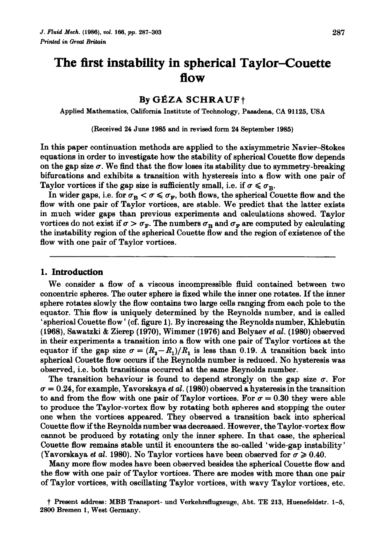# **The first instability in spherical Taylor-Couette flow**

## **By GÉZA SCHRAUF+**

Applied Mathematics, California Institute of Technology, Pasadena, CA 91125, USA

(Received 24 June 1985 and in revised form 24 September 1985)

In this paper continuation methods are applied to the axisymmetric Navier-Stokes equations in order to investigate how the stability of spherical Couette flow depends on the gap size  $\sigma$ . We find that the flow loses its stability due to symmetry-breaking bifurcations and exhibits a transition with hysteresis into a flow with one pair of Taylor vortices if the gap size is sufficiently small, i.e. if  $\sigma \leq \sigma_B$ .

In wider gaps, i.e. for  $\sigma_R < \sigma \leq \sigma_F$ , both flows, the spherical Couette flow and the flow with one pair of Taylor vortices, are stable. We predict that the latter exists in much wider gaps than previous experiments and calculations showed. Taylor vortices do not exist if  $\sigma > \sigma_F$ . The numbers  $\sigma_B$  and  $\sigma_F$  are computed by calculating the instability region of the spherical Couette flow and the region of existence of the flow with one pair of Taylor vortices.

## **1. Introduction**

We consider a flow of a viscous incompressible fluid contained between two concentric spheres. The outer sphere is fixed while the inner one rotates. If the inner sphere rotates slowly the flow contains two large cells ranging from each pole to the equator. This flow is uniquely determined by the Reynolds number, and is called 'spherical Couette flow' ( cf. figure **1).** By increasing the Reynolds number, Khlebutin (1968), Sawatzki & Zierep (1970), Wimmer (1976) and Belyaev *et al.* (1980) observed in their experiments a transition into a flow with one pair of Taylor vortices at the equator if the gap size  $\sigma = (R_2 - R_1)/R_1$  is less than 0.19. A transition back into spherical Couette flow occurs if the Reynolds number is reduced. No hysteresis was observed, i.e. both transitions occurred at the same Reynolds number.

The transition behaviour is found to depend strongly on the gap size  $\sigma$ . For  $\sigma = 0.24$ , for example, Yavorskaya *et al.* (1980) observed a hysteresis in the transition to and from the flow with one pair of Taylor vortices. For  $\sigma = 0.30$  they were able to produce the Taylor-vortex flow by rotating both spheres and stopping the outer one when the vortices appeared. They observed a transition back into spherical Couette flow if the Reynolds number was decreased. However, the Taylor-vortex flow cannot be produced by rotating only the inner sphere. In that case, the spherical Couette flow remains stable until it encounters the so-called 'wide-gap instability' (Yavorskaya *et al.* 1980). No Taylor vortices have been observed for  $\sigma \geq 0.40$ .

Many more flow modes have been observed besides the spherical Couette flow and the flow with one pair of Taylor vortices. There are modes with more than one pair of Taylor vortices, with oscillating Taylor vortices, with wavy Taylor vortices, etc.

t Present address: MBB Transport- und Verkehrsfiugzeuge, Abt. TE 213, Huenefeldstr. 1-5, 2800 Bremen 1, West Germany.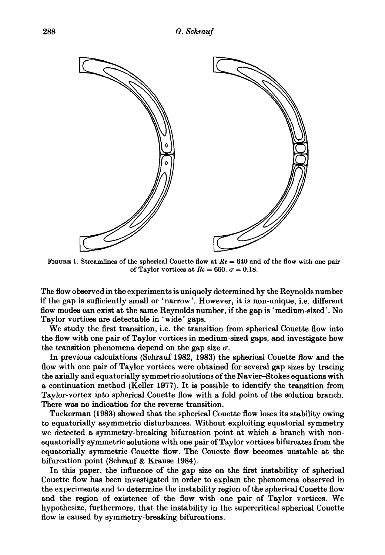

FIGURE 1. Streamlines of the spherical Couette flow at *Re* = 640 and of the flow with one pair of Taylor vortices at  $Re = 660$ .  $\sigma = 0.18$ .

The flow observed in the experiments is uniquely determined by the Reynolds number if the gap is sufficiently small or 'narrow'. However, it is non-unique, i.e. different flow modes can exist at the same Reynolds number, if the gap is 'medium-sized'. No Taylor vortices are detectable in 'wide' gaps.

We study the first transition, i.e. the transition from spherical Couette flow into the flow with one pair of Taylor vortices in medium-sized gaps, and investigate how the transition phenomena depend on the gap size  $\sigma$ .

In previous calculations (Schrauf 1982, 1983) the spherical Couette flow and the flow with one pair of Taylor vortices were obtained for several gap sizes by tracing the axially and equatorially symmetric solutions of the Navier-Stokes equations with a continuation method (Keller 1977). It is possible to identify the transition from Taylor-vortex into spherical Couette flow with a fold point of the solution branch. There was no indication for the reverse transition.

Tuckerman (1983) showed that the spherical Couette flow loses its stability owing to equatorially asymmetric disturbances. Without exploiting equatorial symmetry we detected a symmetry-breaking bifurcation point at which a branch with nonequatorially symmetric solutions with one pair of Taylor vortices bifurcates from the equatorially symmetric Couette flow. The Couette flow becomes unstable at the bifurcation point (Schrauf & Krause 1984).

In this paper, the influence of the gap size on the first instability of spherical Couette flow has been investigated in order to explain the phenomena observed in the experiments and to determine the instability region of the spherical Couette flow and the region of existence of the flow with one pair of Taylor vortices. We hypothesize, furthermore, that the instability in the supercritical spherical Couette flow is caused by symmetry-breaking bifurcations.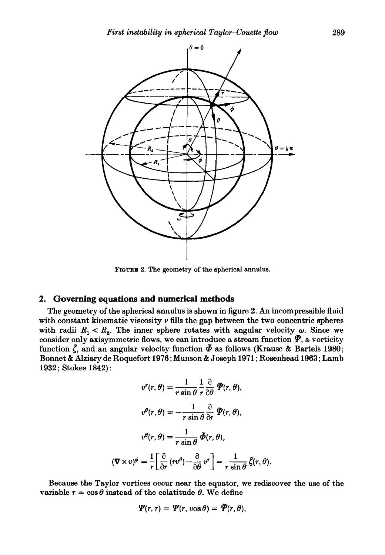

FIGURE 2. The geometry of the spherical annulus.

## **2. Governing equations and numerical methods**

The geometry of the spherical annulus is shown in figure 2. An incompressible fluid with constant kinematic viscosity  $\nu$  fills the gap between the two concentric spheres with radii  $R_1 < R_2$ . The inner sphere rotates with angular velocity  $\omega$ . Since we consider only axisymmetric flows, we can introduce a stream function  $\tilde{\mathbf{y}}$ , a vorticity function  $\zeta$ , and an angular velocity function  $\tilde{\phi}$  as follows (Krause & Bartels 1980; Bonnet & Alziary de Roquefort 1976; Munson & Joseph 1971 ; Rosenhead 1963; Lamb 1932; Stokes 1842) :

$$
v^{r}(r, \theta) = \frac{1}{r \sin \theta} \frac{1}{r} \frac{\partial}{\partial \theta} \tilde{\mathcal{Y}}(r, \theta),
$$

$$
v^{\theta}(r, \theta) = -\frac{1}{r \sin \theta} \frac{\partial}{\partial r} \tilde{\mathcal{Y}}(r, \theta),
$$

$$
v^{\theta}(r, \theta) = \frac{1}{r \sin \theta} \tilde{\Phi}(r, \theta),
$$

$$
(\nabla \times v)^{\phi} = \frac{1}{r} \left[ \frac{\partial}{\partial r} (r v^{\theta}) - \frac{\partial}{\partial \theta} v^{r} \right] = \frac{1}{r \sin \theta} \tilde{\xi}(r, \theta).
$$

Because the Taylor vortices occur near the equator, we rediscover the use of the variable  $\tau = \cos \theta$  instead of the colatitude  $\theta$ . We define

$$
\Psi(r,\tau)=\Psi(r,\cos\theta)=\Psi(r,\theta),
$$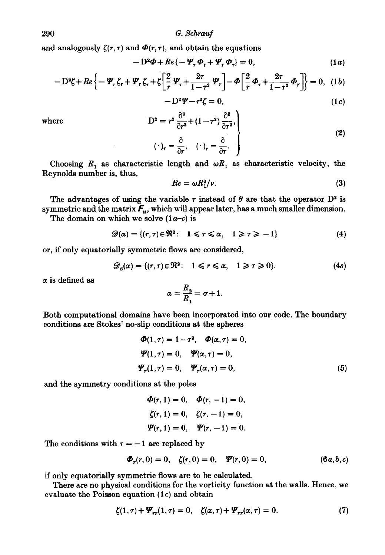290 *G. Schrauf* 

and analogously  $\zeta(r, \tau)$  and  $\Phi(r, \tau)$ , and obtain the equations

$$
-D^2\Phi + Re\{-\Psi_\tau \Phi_\tau + \Psi_\tau \Phi_\tau\} = 0, \qquad (1a)
$$

$$
-D^2\zeta + Re\left\{-\Psi_\tau\zeta_r + \Psi_r\zeta_r + \zeta\left[\frac{2}{r}\Psi_r + \frac{2\tau}{1-\tau^2}\Psi_r\right] - \Phi\left[\frac{2}{r}\Phi_r + \frac{2\tau}{1-\tau^2}\Phi_r\right]\right\} = 0, \quad (1b)
$$

$$
-D^2\Psi-r^2\zeta=0,\t(1c)
$$

where

$$
D^{2} = r^{2} \frac{\partial^{2}}{\partial r^{2}} + (1 - \tau^{2}) \frac{\partial^{2}}{\partial \tau^{2}},
$$
  

$$
(\cdot)_{r} = \frac{\partial}{\partial r}, \quad (\cdot)_{r} = \frac{\partial}{\partial \tau}.
$$
 (2)

Choosing  $R_1$  as characteristic length and  $\omega R_1$  as characteristic velocity, the Reynolds number is, thus,

$$
Re = \omega R_1^2 / \nu. \tag{3}
$$

The advantages of using the variable  $\tau$  instead of  $\theta$  are that the operator  $D^2$  is symmetric and the matrix  $F_u$ , which will appear later, has a much smaller dimension.

The domain on which we solve  $(1a-c)$  is

$$
\mathscr{D}(\alpha) = \{ (r,\tau) \in \Re^2 : 1 \leq r \leq \alpha, 1 \geq \tau \geq -1 \} \tag{4}
$$

or, if only equatorially symmetric flows are considered,

$$
\mathscr{D}_s(\alpha) = \{ (r, \tau) \in \Re^2 : 1 \leq r \leq \alpha, 1 \geq \tau \geq 0 \}. \tag{4s}
$$

*a* is defined as

$$
\alpha = \frac{R_2}{R_1} = \sigma + 1.
$$

Both computational domains have been incorporated into our code. The boundary conditions are Stokes' no-slip conditions at the spheres

$$
\Phi(1,\tau) = 1 - \tau^2, \quad \Phi(\alpha,\tau) = 0,
$$
  
\n
$$
\Psi(1,\tau) = 0, \quad \Psi(\alpha,\tau) = 0,
$$
  
\n
$$
\Psi_r(1,\tau) = 0, \quad \Psi_r(\alpha,\tau) = 0,
$$
 (5)

and the symmetry conditions at the poles

 $\Phi(r, 1) = 0, \quad \Phi(r, -1) = 0,$  $\zeta(r,1)=0, \quad \zeta(r,-1)=0,$  $\Psi(r, 1) = 0, \quad \Psi(r, -1) = 0.$ 

The conditions with  $\tau = -1$  are replaced by

$$
\Phi_r(r,0) = 0, \quad \zeta(r,0) = 0, \quad \Psi(r,0) = 0, \tag{6a,b,c}
$$

if only equatorially symmetric flows are to be calculated.

There are no physical conditions for the vorticity function at the walls. Hence, we evaluate the Poisson equation (1c) and obtain

$$
\zeta(1,\tau) + \Psi_{rr}(1,\tau) = 0, \quad \zeta(\alpha,\tau) + \Psi_{rr}(\alpha,\tau) = 0. \tag{7}
$$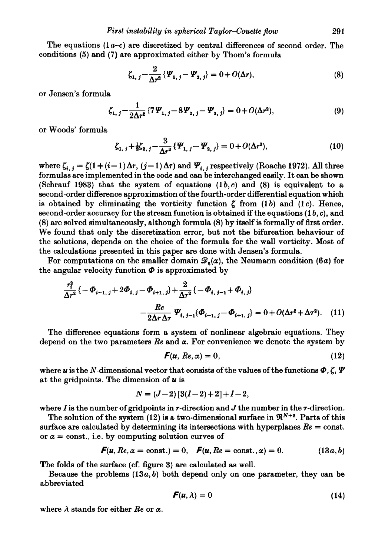The equations  $(1a-c)$  are discretized by central differences of second order. The conditions  $(5)$  and  $(7)$  are approximated either by Thom's formula

$$
\zeta_{1, j} - \frac{2}{\Delta r^2} \{ \Psi_{1, j} - \Psi_{2, j} \} = 0 + O(\Delta r), \tag{8}
$$

or Jensen's formula

$$
\zeta_{1, j} - \frac{1}{2\Delta r^2} \left\{ 7 \Psi_{1, j} - 8 \Psi_{2, j} - \Psi_{3, j} \right\} = 0 + O(\Delta r^2), \tag{9}
$$

or Woods' formula

$$
\zeta_{1, j} + \frac{1}{2} \zeta_{2, j} - \frac{3}{\Delta r^2} \{ \Psi_{1, j} - \Psi_{2, j} \} = 0 + O(\Delta r^2), \tag{10}
$$

where  $\zeta_{i,j} = \zeta(1 + (i-1)\Delta r, (j-1)\Delta \tau)$  and  $\Psi_{i,j}$  respectively (Roache 1972). All three formulas are implemented in the code and can be interchanged easily. It can be shown (Schrauf 1983) that the system of equations  $(1b, c)$  and  $(8)$  is equivalent to a second -order difference approximation of the fourth -order differential equation which is obtained by eliminating the vorticity function  $\zeta$  from (1b) and (1c). Hence, second-order accuracy for the stream function is obtained if the equations (1 *b,* c), and (8) are solved simultaneously, although formula (8) by itself is formally of first order. We found that only the discretization error, but not the bifurcation behaviour of the solutions, depends on the choice of the formula for the wall vorticity. Most of the calculations presented in this paper are done with Jensen's formula.

For computations on the smaller domain  $\mathscr{D}_s(\alpha)$ , the Neumann condition (6a) for the angular velocity function  $\Phi$  is approximated by

$$
\frac{r_i^2}{\Delta r^2} \{-\Phi_{i-1,j} + 2\Phi_{i,j} - \Phi_{i+1,j}\} + \frac{2}{\Delta r^2} \{-\Phi_{i,j-1} + \Phi_{i,j}\}
$$

$$
-\frac{Re}{2\Delta r \Delta \tau} \Psi_{i,j-1} \{\Phi_{i-1,j} - \Phi_{i+1,j}\} = 0 + O(\Delta r^2 + \Delta r^2). \quad (11)
$$

The difference equations form a system of nonlinear algebraic equations. They depend on the two parameters  $\mathbb{R}e$  and  $\alpha$ . For convenience we denote the system by

$$
F(u, Re, \alpha) = 0, \qquad (12)
$$

where *u* is the N-dimensional vector that consists of the values of the functions  $\Phi$ ,  $\zeta$ ,  $\Psi$ at the gridpoints. The dimension of *u* is

$$
N = (J-2) [3(I-2)+2]+I-2,
$$

where I is the number of grid points in r-direction and J the number in the  $\tau$ -direction.

The solution of the system (12) is a two-dimensional surface in  $\mathfrak{R}^{N+2}$ . Parts of this surface are calculated by determining its intersections with hyperplanes  $Re = \text{const.}$ or  $\alpha$  = const., i.e. by computing solution curves of

$$
F(u, Re, \alpha = \text{const.}) = 0, \quad F(u, Re = \text{const.}, \alpha) = 0. \tag{13a, b}
$$

The folds of the surface (cf. figure 3) are calculated as well.

Because the problems  $(13a, b)$  both depend only on one parameter, they can be abbreviated

$$
F(u,\lambda)=0 \qquad \qquad (14)
$$

where  $\lambda$  stands for either *Re* or  $\alpha$ .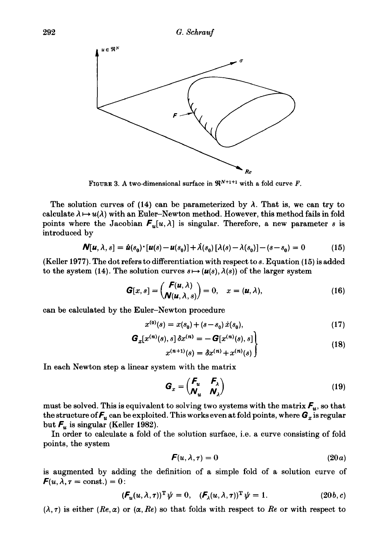

FIGURE 3. A two-dimensional surface in  $\mathbb{R}^{N+1+1}$  with a fold curve F.

The solution curves of (14) can be parameterized by  $\lambda$ . That is, we can try to calculate  $\lambda \mapsto u(\lambda)$  with an Euler-Newton method. However, this method fails in fold points where the Jacobian  $F_u[u, \lambda]$  is singular. Therefore, a new parameter s is introduced by

$$
\mathbf{N}[u,\lambda,s] = \dot{u}(s_0) \cdot [u(s) - u(s_0)] + \dot{\lambda}(s_0) [\lambda(s) - \lambda(s_0)] - (s - s_0) = 0 \tag{15}
$$

(Keller 1977). The dot refers to differentiation with respect to 8. Equation (15) is added to the system (14). The solution curves  $s \mapsto (u(s), \lambda(s))$  of the larger system

$$
\mathbf{G}[x,s] = \begin{pmatrix} \mathbf{F}(\mathbf{u},\lambda) \\ \mathbf{N}(\mathbf{u},\lambda,s) \end{pmatrix} = 0, \quad x = (\mathbf{u},\lambda), \tag{16}
$$

can be calculated by the Euler-Newton procedure

$$
x^{(0)}(s) = x(s_0) + (s - s_0) \dot{x}(s_0), \tag{17}
$$

$$
\mathbf{G}_x[x^{(n)}(s), s] \, \delta x^{(n)} = -\mathbf{G}[x^{(n)}(s), s] \\ x^{(n+1)}(s) = \delta x^{(n)} + x^{(n)}(s) \tag{18}
$$

In each Newton step a linear system with the matrix

$$
G_x = \begin{pmatrix} F_u & F_\lambda \\ \mathbf{N}_u & \mathbf{N}_\lambda \end{pmatrix}
$$
 (19)

must be solved. This is equivalent to solving two systems with the matrix  $F_u$ , so that the structure of  $F_u$  can be exploited. This works even at fold points, where  $G_x$  is regular but  $F_u$  is singular (Keller 1982).

In order to calculate a fold of the solution surface, i.e. a curve consisting of fold points, the system

$$
F(u, \lambda, \tau) = 0 \tag{20a}
$$

is augmented by adding the definition of a simple fold of a solution curve of  $\mathbf{F}(u, \lambda, \tau = \text{const.}) = 0$ :

$$
(\boldsymbol{F}_u(u,\lambda,\tau))^{\mathrm{T}} \psi = 0, \quad (\boldsymbol{F}_\lambda(u,\lambda,\tau))^{\mathrm{T}} \psi = 1. \tag{20b,c}
$$

 $(\lambda, \tau)$  is either  $(Re, \alpha)$  or  $(\alpha, Re)$  so that folds with respect to Re or with respect to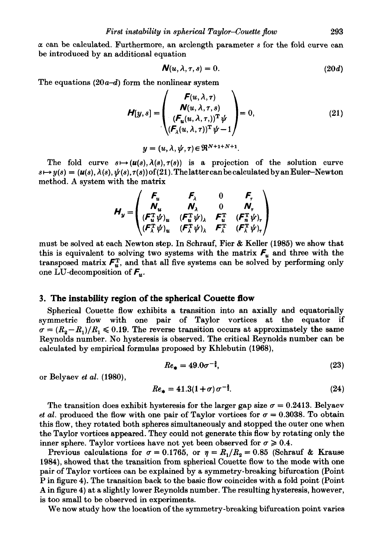*a* can be calculated. Furthermore, an arclength parameter *s* for the fold curve can be introduced by an additional equation

$$
\mathbf{N}(u,\lambda,\tau,s)=0.\tag{20d}
$$

The equations  $(20a-d)$  form the nonlinear system

$$
\boldsymbol{H}[y,s] = \begin{pmatrix} \boldsymbol{F}(u,\lambda,\tau) \\ \boldsymbol{N}(u,\lambda,\tau,s) \\ (\boldsymbol{F}_u(u,\lambda,\tau))^\mathrm{T} \boldsymbol{\psi} \\ (\boldsymbol{F}_\lambda(u,\lambda,\tau))^\mathrm{T} \boldsymbol{\psi} - 1 \end{pmatrix} = 0, \qquad (21)
$$
\n
$$
y = (u,\lambda,\boldsymbol{\psi},\tau) \in \mathfrak{R}^{N+1+N+1}.
$$

curve 
$$
s \mapsto (u(s), \lambda(s), \tau(s))
$$
 is a projection of the sol

The fold curve  $s \mapsto (u(s), \lambda(s), \tau(s))$  is a projection of the solution curve  $s\mapsto y(s) = (\mathbf{u}(s), \lambda(s), \psi(s), \tau(s))$  of (21). The latter can be calculated by an Euler-Newton method. A system with the matrix

$$
H_y = \begin{pmatrix} F_u & F_\lambda & 0 & F_\tau \\ N_u & N_\lambda & 0 & N_\tau \\ (F_u^T \psi)_u & (F_u^T \psi)_\lambda & F_u^T & (F_u^T \psi)_\tau \\ (F_\lambda^T \psi)_u & (F_\lambda^T \psi)_\lambda & F_\lambda^T & (F_\lambda^T \psi)_\tau \end{pmatrix}
$$

must be solved at each Newton step. In Schrauf, Fier & Keller (1985) we show that this is equivalent to solving two systems with the matrix  $F_u$  and three with the transposed matrix  $\mathcal{F}_{u}^{\mathrm{T}}$ , and that all five systems can be solved by performing only one LU-decomposition of  $F_u$ .

## **3. The instability region of the spherical Couette ftow**

Spherical Couette flow exhibits a transition into an axially and equatorially symmetric flow with one pair of Taylor vortices at the equator if  $\sigma = (R_2 - R_1)/R_1 \leq 0.19$ . The reverse transition occurs at approximately the same Reynolds number. No hysteresis is observed. The critical Reynolds number can be calculated by empirical formulas proposed by Khlebutin (1968),

$$
Re_{\ast} = 49.0\sigma^{-\frac{3}{2}},\tag{23}
$$

or Belyaev *et al.* (1980),

$$
Re_{\ast} = 41.3(1+\sigma)\,\sigma^{-\frac{3}{2}}.\tag{24}
$$

The transition does exhibit hysteresis for the larger gap size  $\sigma = 0.2413$ . Belyaev *et al.* produced the flow with one pair of Taylor vortices for  $\sigma = 0.3038$ . To obtain this flow, they rotated both spheres simultaneously and stopped the outer one when the Taylor vortices appeared. They could not generate this flow by rotating only the inner sphere. Taylor vortices have not yet been observed for  $\sigma \geq 0.4$ .

Previous calculations for  $\sigma = 0.1765$ , or  $\eta = R_1/R_2 = 0.85$  (Schrauf & Krause 1984), showed that the transition from spherical Couette flow to the mode with one pair of Taylor vortices can be explained by a symmetry-breaking bifurcation (Point Pin figure 4). The transition back to the basic flow coincides with a fold point (Point A in figure 4) at a slightly lower Reynolds number. The resulting hysteresis, however, is too small to be observed in experiments.

We now study how the location of the symmetry-breaking bifurcation point varies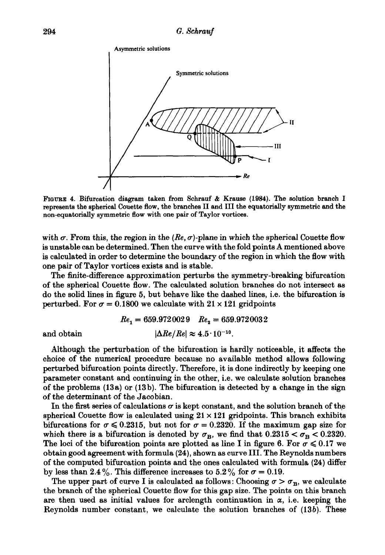

FIGURE 4. Bifurcation diagram taken from Schrauf & Krause (1984). The solution branch I represents the spherical Couette flow, the branches II and III the equatorially symmetric and the non-equatorially symmetric flow with one pair of Taylor vortices.

with  $\sigma$ . From this, the region in the *(Re,*  $\sigma$ *)*-plane in which the spherical Couette flow is unstable can be determined. Then the curve with the fold points A mentioned above is calculated in order to determine the boundary of the region in which the flow with one pair of Taylor vortices exists and is stable.

The finite-difference approximation perturbs the symmetry-breaking bifurcation of the spherical Couette flow. The calculated solution branches do not intersect as do the solid lines in figure 5, but behave like the dashed lines, i.e. the bifurcation is perturbed. For  $\sigma = 0.1800$  we calculate with  $21 \times 121$  gridpoints

$$
Re_1 = 659.9720029 \quad Re_2 = 659.9720032
$$
  
and obtain 
$$
|\Delta Re/Re| \approx 4.5 \cdot 10^{-10}.
$$

Although the perturbation of the bifurcation is hardly noticeable, it affects the choice of the numerical procedure because no available method allows following perturbed bifurcation points directly. Therefore, it is done indirectly by keeping one parameter constant and continuing in the other, i.e. we calculate solution branches of the problems  $(13a)$  or  $(13b)$ . The bifurcation is detected by a change in the sign of the determinant of the Jacobian.

In the first series of calculations  $\sigma$  is kept constant, and the solution branch of the spherical Couette flow is calculated using  $21 \times 121$  gridpoints. This branch exhibits bifurcations for  $\sigma \leq 0.2315$ , but not for  $\sigma = 0.2320$ . If the maximum gap size for which there is a bifurcation is denoted by  $\sigma_B$ , we find that  $0.2315 < \sigma_B < 0.2320$ . The loci of the bifurcation points are plotted as line I in figure 6. For  $\sigma \leqslant 0.17$  we obtain good agreement with formula (24), shown as curve III. The Reynolds numbers of the computed bifurcation points and the ones calculated with formula (24) differ by less than 2.4%. This difference increases to  $5.2\%$  for  $\sigma = 0.19$ .

The upper part of curve I is calculated as follows: Choosing  $\sigma > \sigma_B$ , we calculate the branch of the spherical Couette flow for this gap size. The points on this branch are then used as initial values for arclength continuation in  $\alpha$ , i.e. keeping the Reynolds number constant, we calculate the solution branches of (13b). These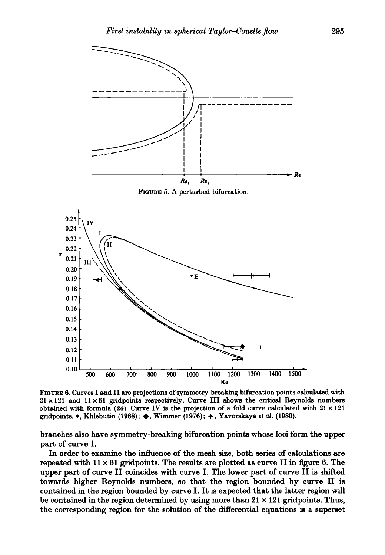

FIGURE 6. Curves I and II are projections of symmetry-breaking bifurcation points calculated with  $21 \times 121$  and  $11 \times 61$  gridpoints respectively. Curve III shows the critical Reynolds numbers obtained with formula (24). Curve IV is the projection of a fold curve calculated with  $21 \times 121$ gridpoints. \*, Khlebutin (1968);  $\blacklozenge$ , Wimmer (1976);  $\blacklozenge$ , Yavorskaya *et al.* (1980).

branches also have symmetry-breaking bifurcation points whose loci form the upper part of curve I.

In order to examine the influence of the mesh size, both series of calculations are repeated with  $11 \times 61$  gridpoints. The results are plotted as curve II in figure 6. The upper part of curve II coincides with curve I. The lower part of curve II is shifted towards higher Reynolds numbers, so that the region bounded by curve II is contained in the region bounded by curve I. It is expected that the latter region will be contained in the region determined by using more than  $21 \times 121$  gridpoints. Thus, the corresponding region for the solution of the differential equations is a superset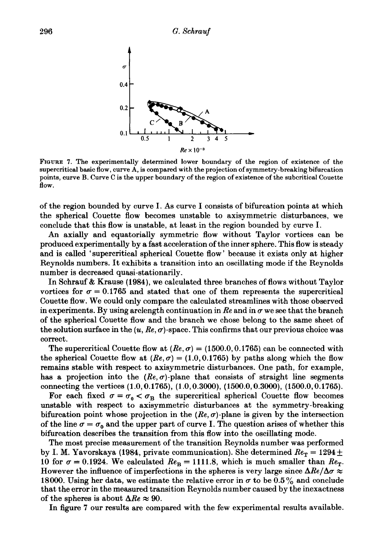

FIGURE 7. The experimentally determined lower boundary of the region of existence of the supercritical basic flow, curve A, is compared with the projection of symmetry-breaking bifurcation points, curve B. Curve C is the upper boundary of the region of existence of the subcritical Couette flow.

of the region bounded by curve I. As curve I consists of bifurcation points at which the spherical Couette flow becomes unstable to axisymmetric disturbances, we conclude that this flow is unstable, at least in the region bounded by curve I.

An axially and equatorially symmetric flow without Taylor vortices can be produced experimentally by a fast acceleration of the inner sphere. This flow is steady and is called 'supercritical spherical Couette flow' because it exists only at higher Reynolds numbers. It exhibits a transition into an oscillating mode if the Reynolds number is decreased quasi-stationarily.

In Schrauf & Krause (1984), we calculated three branches of flows without Taylor vortices for  $\sigma = 0.1765$  and stated that one of them represents the supercritical Couette flow. We could only compare the calculated streamlines with those observed in experiments. By using arclength continuation in  $\mathbb{R}e$  and in  $\sigma$  we see that the branch of the spherical Couette flow and the branch we chose belong to the same sheet of the solution surface in the  $(u, Re, \sigma)$ -space. This confirms that our previous choice was correct.

The supercritical Couette flow at  $(Re, \sigma) = (1500.0, 0.1765)$  can be connected with the spherical Couette flow at  $(Re, \sigma) = (1.0, 0.1765)$  by paths along which the flow remains stable with respect to axisymmetric disturbances. One path, for example, has a projection into the  $(Re, \sigma)$ -plane that consists of straight line segments connecting the vertices (1.0, 0.1765), (1.0, 0.3000), (1500.0, 0.3000), (1500.0, 0.1765).

For each fixed  $\sigma = \sigma_0 < \sigma_B$  the supercritical spherical Couette flow becomes unstable with respect to axisymmetric disturbances at the symmetry-breaking bifurcation point whose projection in the  $(Re, \sigma)$ -plane is given by the intersection of the line  $\sigma = \sigma_0$  and the upper part of curve I. The question arises of whether this bifurcation describes the transition from this flow into the oscillating mode.

The most precise measurement of the transition Reynolds number was performed by I. M. Yavorskaya (1984, private communication). She determined  $Re<sub>T</sub> = 1294 \pm$ 10 for  $\sigma = 0.1924$ . We calculated  $Re_B = 1111.8$ , which is much smaller than  $Re_T$ . However the influence of imperfections in the spheres is very large since  $\Delta Re/\Delta \sigma \approx$ 18000. Using her data, we estimate the relative error in  $\sigma$  to be 0.5% and conclude that the error in the measured transition Reynolds number caused by the inexactness of the spheres is about  $\Delta Re \approx 90$ .

In figure 7 our results are compared with the few experimental results available.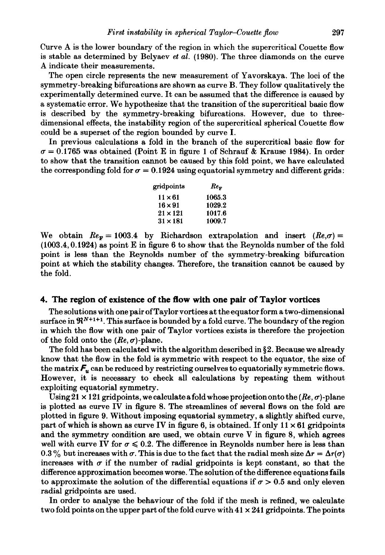Curve A is the lower boundary of the region in which the supercritical Couette flow is stable as determined by Belyaev *et al.* (1980). The three diamonds on the curve A indicate their measurements.

The open circle represents the new measurement of Yavorskaya. The loci of the symmetry-breaking bifurcations are shown as curve B. They follow qualitatively the experimentally determined curve. It can be assumed that the difference is caused by a systematic error. We hypothesize that the transition of the supercritical basic flow is described by the symmetry-breaking bifurcations. However, due to threedimensional effects, the instability region of the supercritical spherical Couette flow could be a superset of the region bounded by curve I.

In previous calculations a fold in the branch of the supercritical basic flow for  $\sigma = 0.1765$  was obtained (Point E in figure 1 of Schrauf & Krause 1984). In order to show that the transition cannot be caused by this fold point, we have calculated the corresponding fold for  $\sigma = 0.1924$  using equatorial symmetry and different grids:

| gridpoints      | $Re_F$ |  |
|-----------------|--------|--|
| $11 \times 61$  | 1065.3 |  |
| $16 \times 91$  | 1029.2 |  |
| $21 \times 121$ | 1017.6 |  |
| $31 \times 181$ | 1009.7 |  |

We obtain  $Re_F = 1003.4$  by Richardson extrapolation and insert  $(Re_{\sigma}\sigma)$  =  $(1003.4, 0.1924)$  as point E in figure 6 to show that the Reynolds number of the fold point is less than the Reynolds number of the symmetry-breaking bifurcation point at which the stability changes. Therefore, the transition cannot be caused by the fold.

## **4. The region of existence of the ftow with one pair of Taylor vortices**

The solutions with one pair ofTaylor vortices at the equator form a two-dimensional surface in  $\mathfrak{R}^{N+1+1}$ . This surface is bounded by a fold curve. The boundary of the region in which the flow with one pair of Taylor vortices exists is therefore the projection of the fold onto the  $(Re, \sigma)$ -plane.

The fold has been calculated with the algorithm described in §2. Because we already know that the flow in the fold is symmetric with respect to the equator, the size of the matrix  $F_u$  can be reduced by restricting ourselves to equatorially symmetric flows. However, it is necessary to check all calculations by repeating them without exploiting equatorial symmetry.

Using 21 x 121 gridpoints, we calculate a fold whose projection onto the  $(Re, \sigma)$ -plane is plotted as curve IV in figure 8. The streamlines of several flows on the fold are plotted in figure 9. Without imposing equatorial symmetry, a slightly shifted curve, part of which is shown as curve IV in figure 6, is obtained. If only  $11 \times 61$  grid points and the symmetry condition are used, we obtain curve V in figure 8, which agrees well with curve IV for  $\sigma \leqslant 0.2$ . The difference in Reynolds number here is less than 0.3% but increases with  $\sigma$ . This is due to the fact that the radial mesh size  $\Delta r = \Delta r(\sigma)$ increases with  $\sigma$  if the number of radial gridpoints is kept constant, so that the difference approximation becomes worse. The solution of the difference equations fails to approximate the solution of the differential equations if  $\sigma > 0.5$  and only eleven radial gridpoints are used.

In order to analyse the behaviour of the fold if the mesh is refined, we calculate two fold points on the upper part of the fold curve with  $41 \times 241$  grid points. The points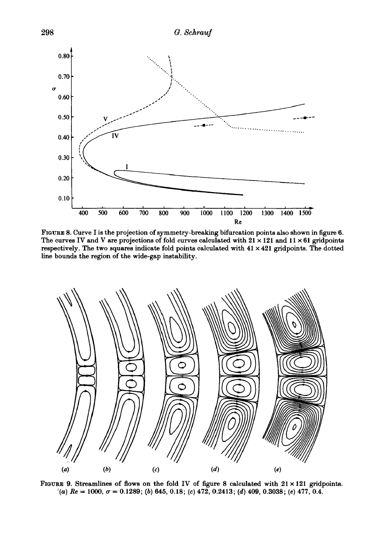

FIGURE 8. Curve I is the projection of symmetry-breaking bifurcation points also shown in figure 6. The curves IV and V are projections of fold curves calculated with  $21 \times 121$  and  $11 \times 61$  gridpoints respectively. The two squares indicate fold points calculated with  $41 \times 421$  gridpoints. The dotted line bounds the region of the wide-gap instability.



FIGURE 9. Streamlines of flows on the fold IV of figure 8 calculated with  $21 \times 121$  gridpoints.  $(4)$  *Re* = 1000,  $\sigma$  = 0.1289; (b) 645, 0.18; (c) 472, 0.2413; (d) 409, 0.3038; (e) 477, 0.4.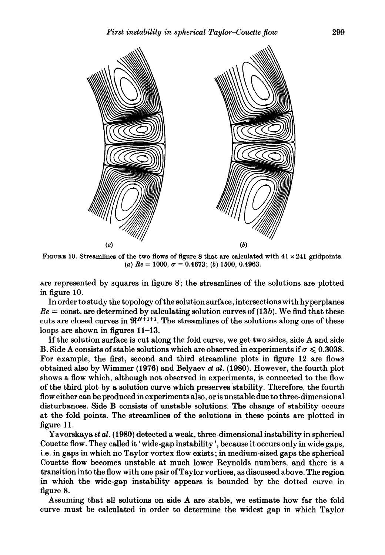

FIGURE 10. Streamlines of the two flows of figure 8 that are calculated with  $41 \times 241$  gridpoints. (a)  $Re = 1000$ ,  $\sigma = 0.4673$ ; (b) 1500, 0.4963.

are represented by squares in figure 8; the streamlines of the solutions are plotted in figure 10.

In order to study the topology of the solution surface, intersections with hyperplanes  $Re =$  const. are determined by calculating solution curves of  $(13b)$ . We find that these cuts are closed curves in  $\mathbb{R}^{N+1+1}$ . The streamlines of the solutions along one of these loops are shown in figures 11-13.

If the solution surface is cut along the fold curve, we get two sides, side A and side B. Side A consists of stable solutions which are observed in experiments if  $\sigma \leq 0.3038$ . For example, the first, second and third streamline plots in figure 12 are flows obtained also by Wimmer (1976) and Belyaev *et al.* (1980). However, the fourth plot shows a flow which, although not observed in experiments, is connected to the flow of the third plot by a solution curve which preserves stability. Therefore, the fourth flow either can be produced in experiments also, oris unstable due to three-dimensional disturbances. Side B consists of unstable solutions. The change of stability occurs at the fold points. The streamlines of the solutions in these points are plotted in figure 11.

Yavorskaya et al. (1980) detected a weak, three-dimensional instability in spherical Couette flow. They called it 'wide-gap instability', because it occurs only in wide gaps, i.e. in gaps in which no Taylor vortex flow exists; in medium-sized gaps the spherical Couette flow becomes unstable at much lower Reynolds numbers, and there is a transition into the flow with one pair of Taylor vortices, as discussed above. The region in which the wide-gap instability appears is bounded by the dotted curve in figure 8.

Assuming that all solutions on side A are stable, we estimate how far the fold curve must be calculated in order to determine the widest gap in which Taylor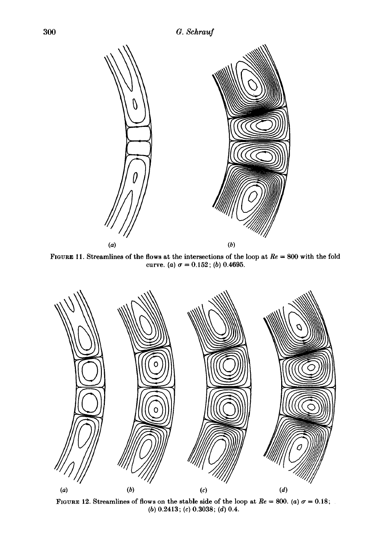

FIGURE 11. Streamlines of the flows at the intersections of the loop at *Re* = 800 with the fold curve. (a)  $\sigma = 0.152$ ; (b) 0.4695.



FIGURE 12. Streamlines of flows on the stable side of the loop at  $Re = 800$ . (a)  $\sigma = 0.18$ ; (b) 0.2413; (c) 0.3038; (d) 0.4.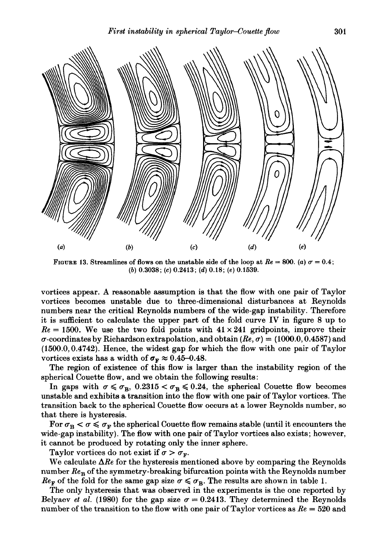

FIGURE 13. Streamlines of flows on the unstable side of the loop at  $Re = 800$ . (a)  $\sigma = 0.4$ ; (b) 0.3038; (c) 0.2413; (d) 0.18; (e) 0.1539.

vortices appear. A reasonable assumption is that the flow with one pair of Taylor vortices becomes unstable due to three-dimensional disturbances at Reynolds numbers near the critical Reynolds numbers of the wide-gap instability. Therefore it is sufficient to calculate the upper part of the fold curve IV in figure 8 up to  $Re = 1500$ . We use the two fold points with  $41 \times 241$  gridpoints, improve their  $\sigma$ -coordinates by Richardson extrapolation, and obtain  $(Re, \sigma) = (1000.0, 0.4587)$  and (1500.0, 0.4742). Hence, the widest gap for which the flow with one pair of Taylor vortices exists has a width of  $\sigma_F \approx 0.45{\text -}0.48$ .

The region of existence of this flow is larger than the instability region of the spherical Couette flow, and we obtain the following results:

In gaps with  $\sigma \le \sigma_B$ , 0.2315  $\sigma_B \le 0.24$ , the spherical Couette flow becomes unstable and exhibits a transition into the flow with one pair of Taylor vortices. The transition back to the spherical Couette flow occurs at a lower Reynolds number, so that there is hysteresis.

For  $\sigma_{\rm B} < \sigma \leq \sigma_{\rm F}$  the spherical Couette flow remains stable (until it encounters the wide-gap instability). The flow with one pair of Taylor vortices also exists; however, it cannot be produced by rotating only the inner sphere.

Taylor vortices do not exist if  $\sigma > \sigma_F$ .

We calculate  $\Delta Re$  for the hysteresis mentioned above by comparing the Reynolds number  $Re_B$  of the symmetry-breaking bifurcation points with the Reynolds number  $Re_F$  of the fold for the same gap size  $\sigma \leq \sigma_B$ . The results are shown in table 1.

The only hysteresis that was observed in the experiments is the one reported by Belyaev *et al.* (1980) for the gap size  $\sigma = 0.2413$ . They determined the Reynolds number of the transition to the flow with one pair of Taylor vortices as *Re* = 520 and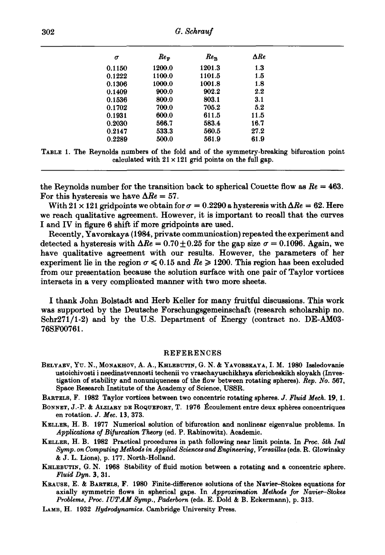| σ      | $Re_{\rm F}$ | $Re_{\rm B}$ | $\Delta Re$ |
|--------|--------------|--------------|-------------|
| 0.1150 | 1200.0       | 1201.3       | 1.3         |
| 0.1222 | 1100.0       | 1101.5       | 1.5         |
| 0.1306 | 1000.0       | 1001.8       | 1.8         |
| 0.1409 | 900.0        | 902.2        | $2.2\,$     |
| 0.1536 | 800.0        | 803.1        | 3.1         |
| 0.1702 | 700.0        | 705.2        | 5.2         |
| 0.1931 | 600.0        | 611.5        | 11.5        |
| 0.2030 | 566.7        | 583.4        | 16.7        |
| 0.2147 | 533.3        | 560.5        | 27.2        |
| 0.2289 | 500.0        | 561.9        | 61.9        |

TABLE 1. The Reynolds numbers of the fold and of the symmetry-breaking bifurcation point calculated with  $21 \times 121$  grid points on the full gap.

the Reynolds number for the transition back to spherical Couette flow as  $Re = 463$ . For this hysteresis we have  $\Delta Re = 57$ .

With 21  $\times$  121 grid points we obtain for  $\sigma = 0.2290$  a hysteresis with  $\Delta Re = 62$ . Here we reach qualitative agreement. However, it is important to recall that the curves I and IV in figure 6 shift if more gridpoints are used.

Recently, Y avorskaya (1984, private communication) repeated the experiment and detected a hysteresis with  $\Delta Re = 0.70 \pm 0.25$  for the gap size  $\sigma = 0.1096$ . Again, we have qualitative agreement with our results. However, the parameters of her experiment lie in the region  $\sigma \leq 0.15$  and  $Re \geq 1200$ . This region has been excluded from our presentation because the solution surface with one pair of Taylor vortices interacts in a very complicated manner with two more sheets.

I thank John Bolstadt and Herb Keller for many fruitful discussions. This work was supported by the Deutsche Forschungsgemeinschaft (research scholarship no. Schr271/1-2) and by the U.S. Department of Energy (contract no. DE-AM03- 76SF00761.

#### REFERENCES

BELYAEV, Yu. N., MONAKHOV, A. A., KHLEBUTIN, G. N. & YAVORSKAYA, I. M. 1980 Issledovanie ustoichivosti i needinstvennosti techenii vo vraschayuschikhsya sfericheskikh sloyakh (Investigation of stability and nonuniqueness of the flow between rotating spheres). *Rep. No.* 567, Space Research Institute of the Academy of Science, USSR.

BARTELS, F. 1982 Taylor vortices between two concentric rotating spheres. J. *Fluid Meek.* 19, 1.

- BoNNET, J.-P. & ALziARy DE ROQUEFORT, T. 1976 Ecoulement entre deux spheres concentriques en rotation. J. *Mec.* 13, 373.
- KELLER, H. B. 1977 Numerical solution of bifurcation and nonlinear eigenvalue problems. In *Applications of Bifurcation Theory* (ed. P. Rabinowitz). Academic.
- KELLER, H. B. 1982 Practical procedures in path following near limit points. In *Proc. 5th Intl Symp.* on *Computing Methods in Applied Sciences and Engineering, Versailles* (eds. R. Glowinsky & J. L. Lions), p. 177. North-Holland.
- KHLEBUTIN, G. N. 1968 Stability of fluid motion between a rotating and a concentric sphere. *Fluid Dyn.* 3, 31.
- KRAUSE, E. & BARTELS, F. 1980 Finite-difference solutions of the Navier-Stokes equations for axially symmetric flows in spherical gaps. In *Approximation Methods for Navier-Stokes Problems, Proc. JUT AM Symp., Paderborn* (eds. E. Dold & B. Eckermann), p. 313.
- LAMB, H. 1932 *Hydrodynamics.* Cambridge University Press.